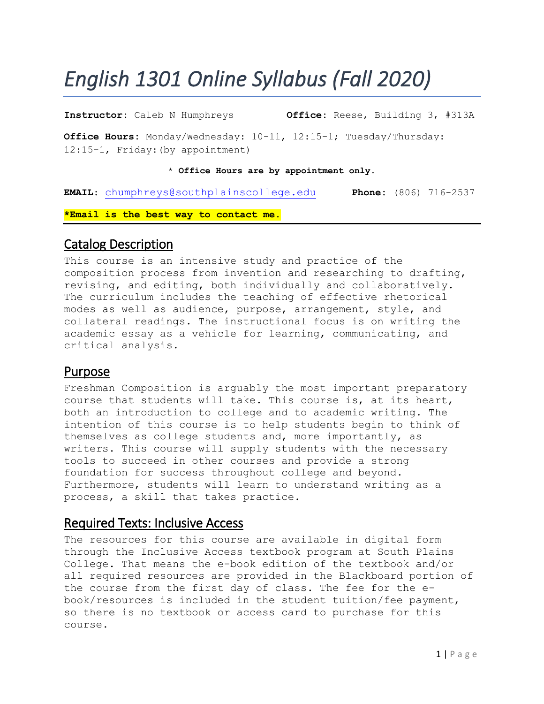# *English 1301 Online Syllabus (Fall 2020)*

**Instructor:** Caleb N Humphreys **Office:** Reese, Building 3, #313A **Office Hours:** Monday/Wednesday: 10-11, 12:15-1; Tuesday/Thursday: 12:15-1, Friday:(by appointment)

#### \* **Office Hours are by appointment only.**

**EMAIL**: [chumphreys@southplainscollege.edu](mailto:chumphreys@southplainscollege.edu) **Phone:** (806) 716-2537 **\*Email is the best way to contact me.**

#### Catalog Description

This course is an intensive study and practice of the composition process from invention and researching to drafting, revising, and editing, both individually and collaboratively. The curriculum includes the teaching of effective rhetorical modes as well as audience, purpose, arrangement, style, and collateral readings. The instructional focus is on writing the academic essay as a vehicle for learning, communicating, and critical analysis.

### Purpose

Freshman Composition is arguably the most important preparatory course that students will take. This course is, at its heart, both an introduction to college and to academic writing. The intention of this course is to help students begin to think of themselves as college students and, more importantly, as writers. This course will supply students with the necessary tools to succeed in other courses and provide a strong foundation for success throughout college and beyond. Furthermore, students will learn to understand writing as a process, a skill that takes practice.

#### Required Texts: Inclusive Access

The resources for this course are available in digital form through the Inclusive Access textbook program at South Plains College. That means the e-book edition of the textbook and/or all required resources are provided in the Blackboard portion of the course from the first day of class. The fee for the ebook/resources is included in the student tuition/fee payment, so there is no textbook or access card to purchase for this course.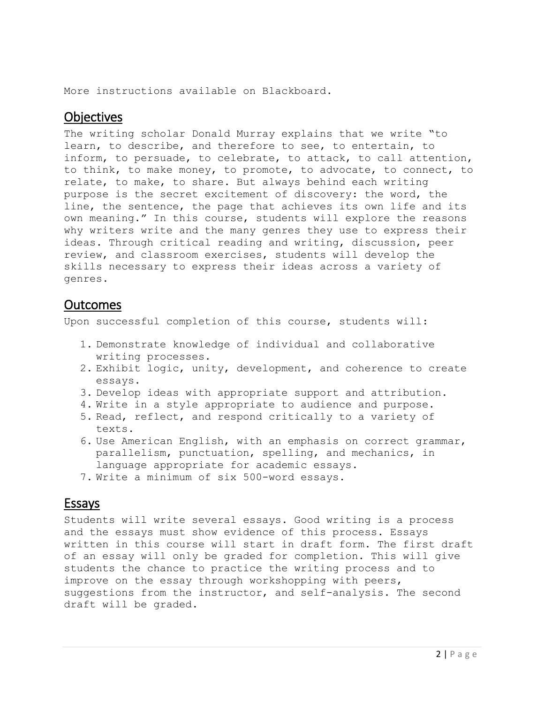More instructions available on Blackboard.

#### **Objectives**

The writing scholar Donald Murray explains that we write "to learn, to describe, and therefore to see, to entertain, to inform, to persuade, to celebrate, to attack, to call attention, to think, to make money, to promote, to advocate, to connect, to relate, to make, to share. But always behind each writing purpose is the secret excitement of discovery: the word, the line, the sentence, the page that achieves its own life and its own meaning." In this course, students will explore the reasons why writers write and the many genres they use to express their ideas. Through critical reading and writing, discussion, peer review, and classroom exercises, students will develop the skills necessary to express their ideas across a variety of genres.

#### Outcomes

Upon successful completion of this course, students will:

- 1. Demonstrate knowledge of individual and collaborative writing processes.
- 2. Exhibit logic, unity, development, and coherence to create essays.
- 3. Develop ideas with appropriate support and attribution.
- 4. Write in a style appropriate to audience and purpose.
- 5. Read, reflect, and respond critically to a variety of texts.
- 6. Use American English, with an emphasis on correct grammar, parallelism, punctuation, spelling, and mechanics, in language appropriate for academic essays.
- 7. Write a minimum of six 500-word essays.

#### Essays

Students will write several essays. Good writing is a process and the essays must show evidence of this process. Essays written in this course will start in draft form. The first draft of an essay will only be graded for completion. This will give students the chance to practice the writing process and to improve on the essay through workshopping with peers, suggestions from the instructor, and self-analysis. The second draft will be graded.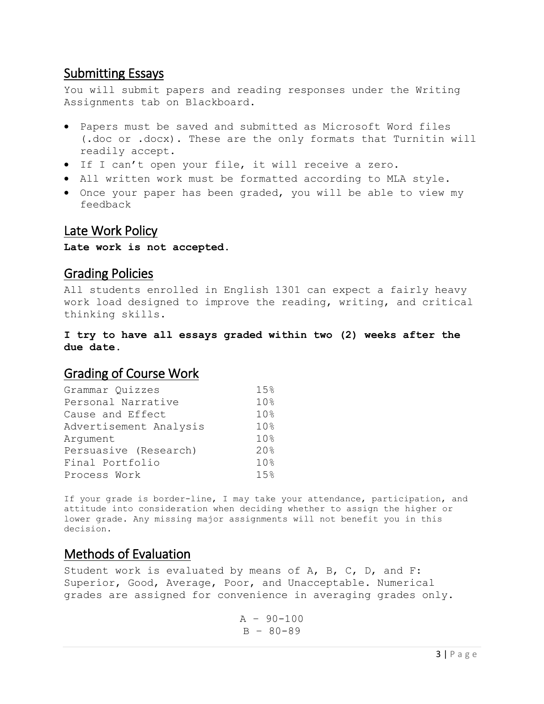### Submitting Essays

You will submit papers and reading responses under the Writing Assignments tab on Blackboard.

- Papers must be saved and submitted as Microsoft Word files (.doc or .docx). These are the only formats that Turnitin will readily accept.
- If I can't open your file, it will receive a zero.
- All written work must be formatted according to MLA style.
- Once your paper has been graded, you will be able to view my feedback

#### Late Work Policy

**Late work is not accepted**.

#### Grading Policies

All students enrolled in English 1301 can expect a fairly heavy work load designed to improve the reading, writing, and critical thinking skills.

**I try to have all essays graded within two (2) weeks after the due date.** 

## Grading of Course Work

| Grammar Quizzes        | 15% |
|------------------------|-----|
| Personal Narrative     | 10% |
| Cause and Effect       | 10% |
| Advertisement Analysis | 10% |
| Arqument               | 10% |
| Persuasive (Research)  | 20% |
| Final Portfolio        | 10% |
| Process Work           | 15% |

If your grade is border-line, I may take your attendance, participation, and attitude into consideration when deciding whether to assign the higher or lower grade. Any missing major assignments will not benefit you in this decision.

### Methods of Evaluation

Student work is evaluated by means of A, B, C, D, and F: Superior, Good, Average, Poor, and Unacceptable. Numerical grades are assigned for convenience in averaging grades only.

> $A - 90 - 100$  $B - 80 - 89$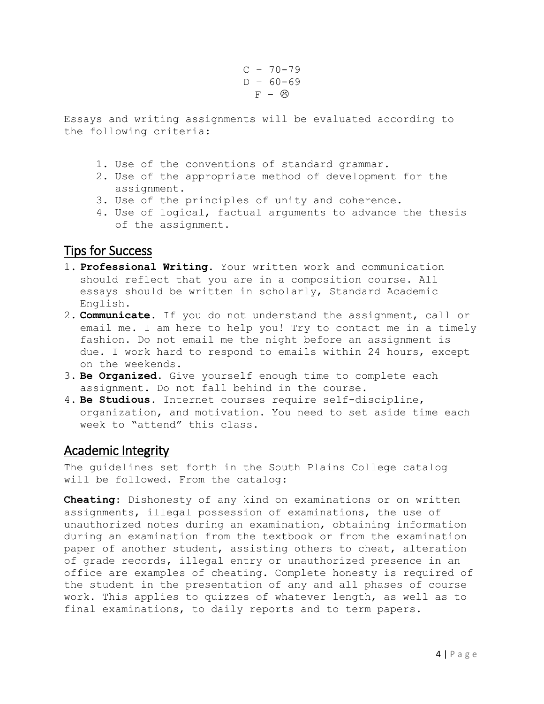$C - 70 - 79$  $D - 60 - 69$  $F - \circledcirc$ 

Essays and writing assignments will be evaluated according to the following criteria:

- 1. Use of the conventions of standard grammar.
- 2. Use of the appropriate method of development for the assignment.
- 3. Use of the principles of unity and coherence.
- 4. Use of logical, factual arguments to advance the thesis of the assignment.

### Tips for Success

- 1. **Professional Writing.** Your written work and communication should reflect that you are in a composition course. All essays should be written in scholarly, Standard Academic English.
- 2. **Communicate.** If you do not understand the assignment, call or email me. I am here to help you! Try to contact me in a timely fashion. Do not email me the night before an assignment is due. I work hard to respond to emails within 24 hours, except on the weekends.
- 3. **Be Organized.** Give yourself enough time to complete each assignment. Do not fall behind in the course.
- 4. **Be Studious.** Internet courses require self-discipline, organization, and motivation. You need to set aside time each week to "attend" this class.

#### Academic Integrity

The guidelines set forth in the South Plains College catalog will be followed. From the catalog:

**Cheating**: Dishonesty of any kind on examinations or on written assignments, illegal possession of examinations, the use of unauthorized notes during an examination, obtaining information during an examination from the textbook or from the examination paper of another student, assisting others to cheat, alteration of grade records, illegal entry or unauthorized presence in an office are examples of cheating. Complete honesty is required of the student in the presentation of any and all phases of course work. This applies to quizzes of whatever length, as well as to final examinations, to daily reports and to term papers.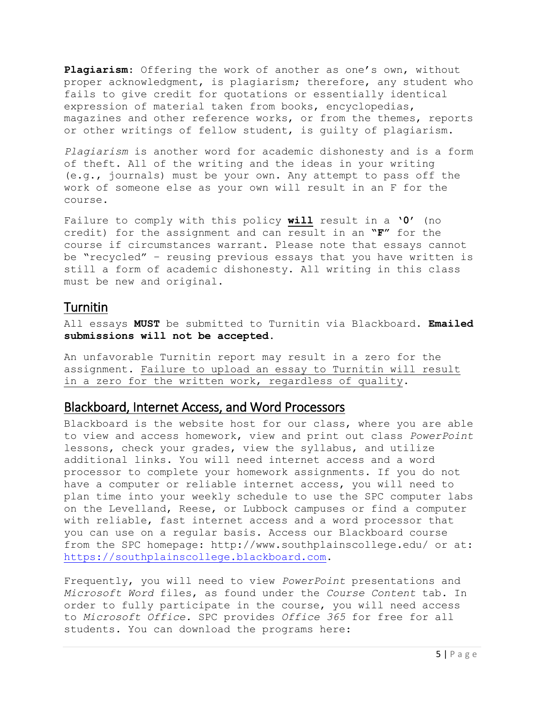**Plagiarism**: Offering the work of another as one's own, without proper acknowledgment, is plagiarism; therefore, any student who fails to give credit for quotations or essentially identical expression of material taken from books, encyclopedias, magazines and other reference works, or from the themes, reports or other writings of fellow student, is guilty of plagiarism.

*Plagiarism* is another word for academic dishonesty and is a form of theft. All of the writing and the ideas in your writing (e.g., journals) must be your own. Any attempt to pass off the work of someone else as your own will result in an F for the course.

Failure to comply with this policy **will** result in a **'0'** (no credit) for the assignment and can result in an **"F"** for the course if circumstances warrant. Please note that essays cannot be "recycled" – reusing previous essays that you have written is still a form of academic dishonesty. All writing in this class must be new and original.

#### Turnitin

All essays **MUST** be submitted to Turnitin via Blackboard. **Emailed submissions will not be accepted.**

An unfavorable Turnitin report may result in a zero for the assignment. Failure to upload an essay to Turnitin will result in a zero for the written work, regardless of quality.

#### Blackboard, Internet Access, and Word Processors

Blackboard is the website host for our class, where you are able to view and access homework, view and print out class *PowerPoint* lessons, check your grades, view the syllabus, and utilize additional links. You will need internet access and a word processor to complete your homework assignments. If you do not have a computer or reliable internet access, you will need to plan time into your weekly schedule to use the SPC computer labs on the Levelland, Reese, or Lubbock campuses or find a computer with reliable, fast internet access and a word processor that you can use on a regular basis. Access our Blackboard course from the SPC homepage: http://www.southplainscollege.edu/ or at: [https://southplainscollege.blackboard.com.](https://southplainscollege.blackboard.com/)

Frequently, you will need to view *PowerPoint* presentations and *Microsoft Word* files, as found under the *Course Content* tab. In order to fully participate in the course, you will need access to *Microsoft Office.* SPC provides *Office 365* for free for all students. You can download the programs here: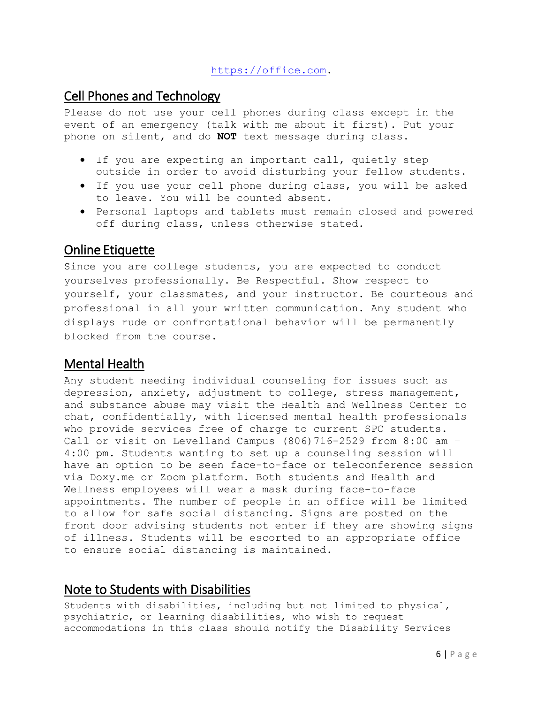#### [https://office.com.](https://office.comx/)

#### Cell Phones and Technology

Please do not use your cell phones during class except in the event of an emergency (talk with me about it first). Put your phone on silent, and do **NOT** text message during class.

- If you are expecting an important call, quietly step outside in order to avoid disturbing your fellow students.
- If you use your cell phone during class, you will be asked to leave. You will be counted absent.
- Personal laptops and tablets must remain closed and powered off during class, unless otherwise stated.

### Online Etiquette

Since you are college students, you are expected to conduct yourselves professionally. Be Respectful. Show respect to yourself, your classmates, and your instructor. Be courteous and professional in all your written communication. Any student who displays rude or confrontational behavior will be permanently blocked from the course.

## Mental Health

Any student needing individual counseling for issues such as depression, anxiety, adjustment to college, stress management, and substance abuse may visit the Health and Wellness Center to chat, confidentially, with licensed mental health professionals who provide services free of charge to current SPC students. Call or visit on Levelland Campus (806)716-2529 from 8:00 am – 4:00 pm. Students wanting to set up a counseling session will have an option to be seen face-to-face or teleconference session via Doxy.me or Zoom platform. Both students and Health and Wellness employees will wear a mask during face-to-face appointments. The number of people in an office will be limited to allow for safe social distancing. Signs are posted on the front door advising students not enter if they are showing signs of illness. Students will be escorted to an appropriate office to ensure social distancing is maintained.

# Note to Students with Disabilities

Students with disabilities, including but not limited to physical, psychiatric, or learning disabilities, who wish to request accommodations in this class should notify the Disability Services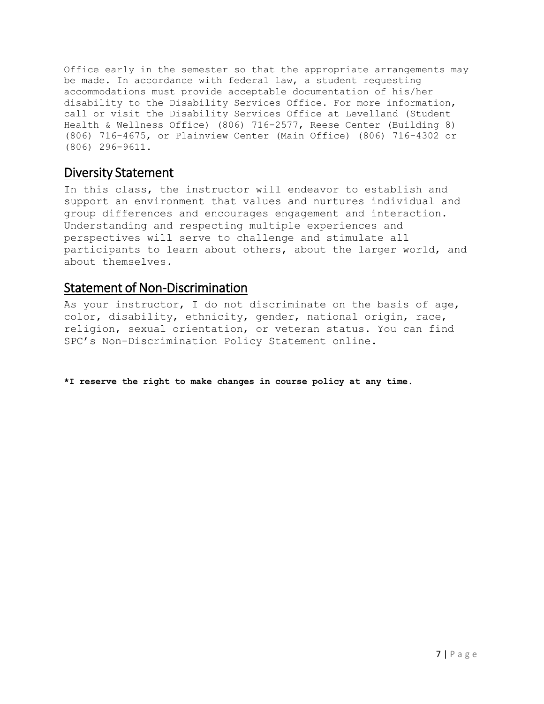Office early in the semester so that the appropriate arrangements may be made. In accordance with federal law, a student requesting accommodations must provide acceptable documentation of his/her disability to the Disability Services Office. For more information, call or visit the Disability Services Office at Levelland (Student Health & Wellness Office) (806) 716-2577, Reese Center (Building 8) (806) 716-4675, or Plainview Center (Main Office) (806) 716-4302 or (806) 296-9611.

#### Diversity Statement

In this class, the instructor will endeavor to establish and support an environment that values and nurtures individual and group differences and encourages engagement and interaction. Understanding and respecting multiple experiences and perspectives will serve to challenge and stimulate all participants to learn about others, about the larger world, and about themselves.

#### Statement of Non-Discrimination

As your instructor, I do not discriminate on the basis of age, color, disability, ethnicity, gender, national origin, race, religion, sexual orientation, or veteran status. You can find SPC's Non-Discrimination Policy Statement online.

**\*I reserve the right to make changes in course policy at any time.**